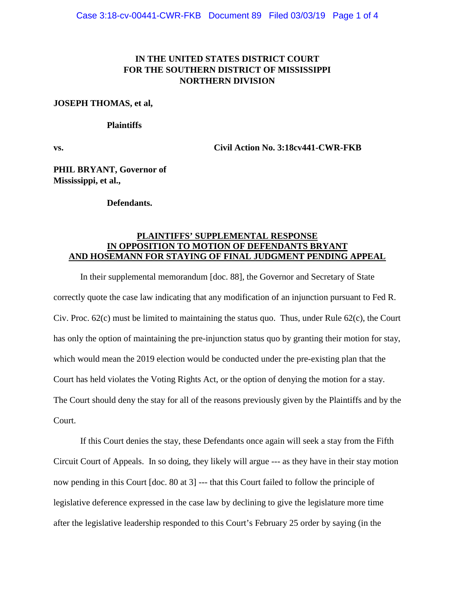## **IN THE UNITED STATES DISTRICT COURT FOR THE SOUTHERN DISTRICT OF MISSISSIPPI NORTHERN DIVISION**

#### **JOSEPH THOMAS, et al,**

#### **Plaintiffs**

**vs. Civil Action No. 3:18cv441-CWR-FKB**

**PHIL BRYANT, Governor of Mississippi, et al.,**

#### **Defendants.**

### **PLAINTIFFS' SUPPLEMENTAL RESPONSE IN OPPOSITION TO MOTION OF DEFENDANTS BRYANT AND HOSEMANN FOR STAYING OF FINAL JUDGMENT PENDING APPEAL**

In their supplemental memorandum [doc. 88], the Governor and Secretary of State correctly quote the case law indicating that any modification of an injunction pursuant to Fed R. Civ. Proc. 62(c) must be limited to maintaining the status quo. Thus, under Rule 62(c), the Court has only the option of maintaining the pre-injunction status quo by granting their motion for stay, which would mean the 2019 election would be conducted under the pre-existing plan that the Court has held violates the Voting Rights Act, or the option of denying the motion for a stay. The Court should deny the stay for all of the reasons previously given by the Plaintiffs and by the Court.

If this Court denies the stay, these Defendants once again will seek a stay from the Fifth Circuit Court of Appeals. In so doing, they likely will argue --- as they have in their stay motion now pending in this Court [doc. 80 at 3] --- that this Court failed to follow the principle of legislative deference expressed in the case law by declining to give the legislature more time after the legislative leadership responded to this Court's February 25 order by saying (in the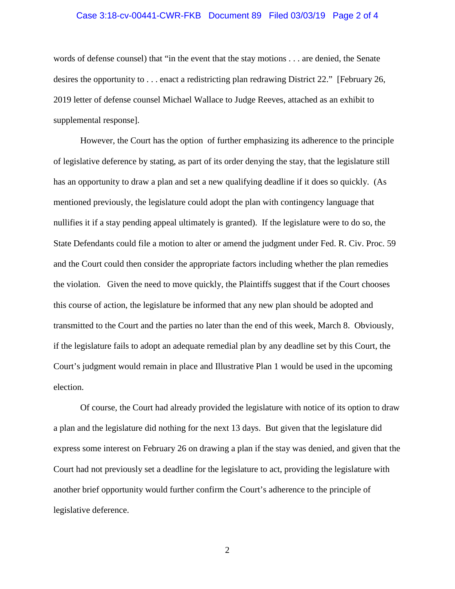#### Case 3:18-cv-00441-CWR-FKB Document 89 Filed 03/03/19 Page 2 of 4

words of defense counsel) that "in the event that the stay motions . . . are denied, the Senate desires the opportunity to . . . enact a redistricting plan redrawing District 22." [February 26, 2019 letter of defense counsel Michael Wallace to Judge Reeves, attached as an exhibit to supplemental response].

However, the Court has the option of further emphasizing its adherence to the principle of legislative deference by stating, as part of its order denying the stay, that the legislature still has an opportunity to draw a plan and set a new qualifying deadline if it does so quickly. (As mentioned previously, the legislature could adopt the plan with contingency language that nullifies it if a stay pending appeal ultimately is granted). If the legislature were to do so, the State Defendants could file a motion to alter or amend the judgment under Fed. R. Civ. Proc. 59 and the Court could then consider the appropriate factors including whether the plan remedies the violation. Given the need to move quickly, the Plaintiffs suggest that if the Court chooses this course of action, the legislature be informed that any new plan should be adopted and transmitted to the Court and the parties no later than the end of this week, March 8. Obviously, if the legislature fails to adopt an adequate remedial plan by any deadline set by this Court, the Court's judgment would remain in place and Illustrative Plan 1 would be used in the upcoming election.

Of course, the Court had already provided the legislature with notice of its option to draw a plan and the legislature did nothing for the next 13 days. But given that the legislature did express some interest on February 26 on drawing a plan if the stay was denied, and given that the Court had not previously set a deadline for the legislature to act, providing the legislature with another brief opportunity would further confirm the Court's adherence to the principle of legislative deference.

2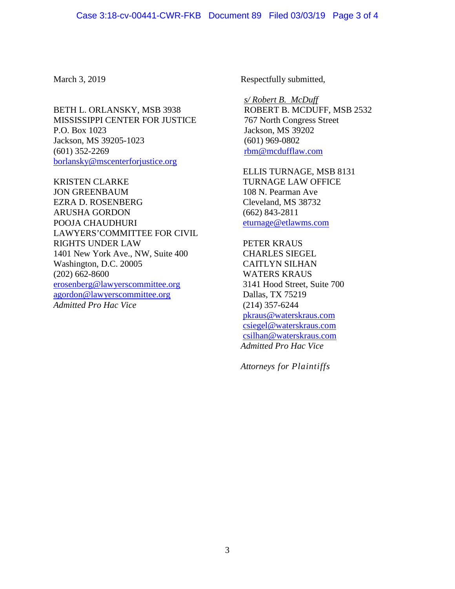BETH L. ORLANSKY, MSB 3938 MISSISSIPPI CENTER FOR JUSTICE P.O. Box 1023 Jackson, MS 39205-1023 (601) 352-2269 [borlansky@mscenterforjustice.org](mailto:borlansky@mscenterforjustice.org)

KRISTEN CLARKE JON GREENBAUM EZRA D. ROSENBERG ARUSHA GORDON POOJA CHAUDHURI LAWYERS'COMMITTEE FOR CIVIL RIGHTS UNDER LAW 1401 New York Ave., NW, Suite 400 Washington, D.C. 20005 (202) 662-8600 [erosenberg@lawyerscommittee.org](mailto:erosenberg@lawyerscommittee.org) [agordon@lawyerscommittee.org](mailto:agordon@lawyerscommittee.org) *Admitted Pro Hac Vice*

March 3, 2019 Respectfully submitted,

*s/ Robert B. McDuff* ROBERT B. MCDUFF, MSB 2532 767 North Congress Street Jackson, MS 39202 (601) 969-0802 [rbm@mcdufflaw.com](mailto:rbm@mcdufflaw.com)

ELLIS TURNAGE, MSB 8131 TURNAGE LAW OFFICE 108 N. Pearman Ave Cleveland, MS 38732 (662) 843-2811 [eturnage@etlawms.com](mailto:eturnage@etlawms.com)

PETER KRAUS CHARLES SIEGEL CAITLYN SILHAN WATERS KRAUS 3141 Hood Street, Suite 700 Dallas, TX 75219 (214) 357-6244 [pkraus@waterskraus.com](mailto:pkraus@waterskraus.com) [csiegel@waterskraus.com](mailto:csiegel@waterskraus.com) [csilhan@waterskraus.com](mailto:csilhan@waterskraus.com) *Admitted Pro Hac Vice*

*Attorneys for Plaintiffs*